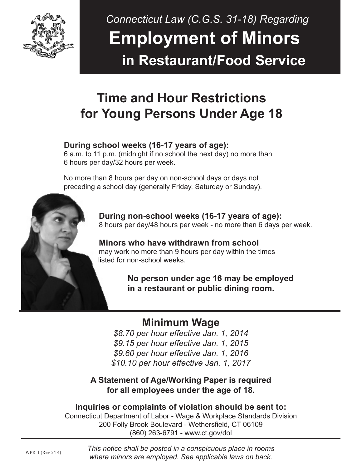

# *Connecticut Law (C.G.S. 31-18) Regarding*  **Employment of Minors in Restaurant/Food Service**

## **Time and Hour Restrictions for Young Persons Under Age 18**

### **During school weeks (16-17 years of age):**

 6 a.m. to 11 p.m. (midnight if no school the next day) no more than 6 hours per day/32 hours per week.

 No more than 8 hours per day on non-school days or days not preceding a school day (generally Friday, Saturday or Sunday).



 **Minors who have withdrawn from school** may work no more than 9 hours per day within the times listed for non-school weeks.

> **No person under age 16 may be employed in a restaurant or public dining room.**

### **Minimum Wage**

*\$8.70 per hour effective Jan. 1, 2014 \$9.15 per hour effective Jan. 1, 2015 \$9.60 per hour effective Jan. 1, 2016 \$10.10 per hour effective Jan. 1, 2017*

### **A Statement of Age/Working Paper is required for all employees under the age of 18.**

**Inquiries or complaints of violation should be sent to:** Connecticut Department of Labor - Wage & Workplace Standards Division 200 Folly Brook Boulevard - Wethersfield, CT 06109 (860) 263-6791 - www.ct.gov/dol

*This notice shall be posted in a conspicuous place in rooms where minors are employed. See applicable laws on back.*